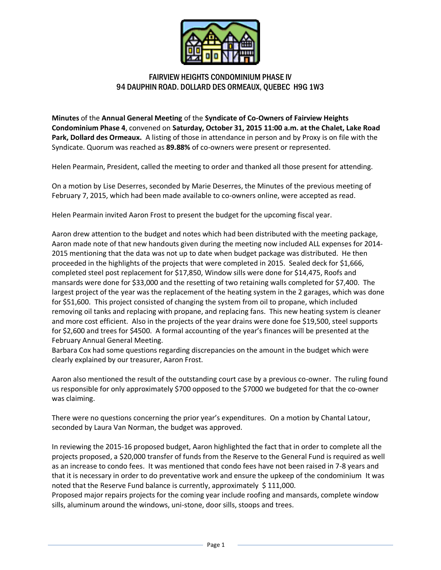

## FAIRVIEW HEIGHTS CONDOMINIUM PHASE IV 94 DAUPHIN ROAD. DOLLARD DES ORMEAUX, QUEBEC H9G 1W3

**Minutes** of the **Annual General Meeting** of the **Syndicate of Co-Owners of Fairview Heights Condominium Phase 4**, convened on **Saturday, October 31, 2015 11:00 a.m. at the Chalet, Lake Road Park, Dollard des Ormeaux.** A listing of those in attendance in person and by Proxy is on file with the Syndicate. Quorum was reached as **89.88%** of co-owners were present or represented.

Helen Pearmain, President, called the meeting to order and thanked all those present for attending.

On a motion by Lise Deserres, seconded by Marie Deserres, the Minutes of the previous meeting of February 7, 2015, which had been made available to co-owners online, were accepted as read.

Helen Pearmain invited Aaron Frost to present the budget for the upcoming fiscal year.

Aaron drew attention to the budget and notes which had been distributed with the meeting package, Aaron made note of that new handouts given during the meeting now included ALL expenses for 2014- 2015 mentioning that the data was not up to date when budget package was distributed. He then proceeded in the highlights of the projects that were completed in 2015. Sealed deck for \$1,666, completed steel post replacement for \$17,850, Window sills were done for \$14,475, Roofs and mansards were done for \$33,000 and the resetting of two retaining walls completed for \$7,400. The largest project of the year was the replacement of the heating system in the 2 garages, which was done for \$51,600. This project consisted of changing the system from oil to propane, which included removing oil tanks and replacing with propane, and replacing fans. This new heating system is cleaner and more cost efficient. Also in the projects of the year drains were done foe \$19,500, steel supports for \$2,600 and trees for \$4500. A formal accounting of the year's finances will be presented at the February Annual General Meeting.

Barbara Cox had some questions regarding discrepancies on the amount in the budget which were clearly explained by our treasurer, Aaron Frost.

Aaron also mentioned the result of the outstanding court case by a previous co-owner. The ruling found us responsible for only approximately \$700 opposed to the \$7000 we budgeted for that the co-owner was claiming.

There were no questions concerning the prior year's expenditures. On a motion by Chantal Latour, seconded by Laura Van Norman, the budget was approved.

In reviewing the 2015-16 proposed budget, Aaron highlighted the fact that in order to complete all the projects proposed, a \$20,000 transfer of funds from the Reserve to the General Fund is required as well as an increase to condo fees. It was mentioned that condo fees have not been raised in 7-8 years and that it is necessary in order to do preventative work and ensure the upkeep of the condominium It was noted that the Reserve Fund balance is currently, approximately \$111,000.

Proposed major repairs projects for the coming year include roofing and mansards, complete window sills, aluminum around the windows, uni-stone, door sills, stoops and trees.